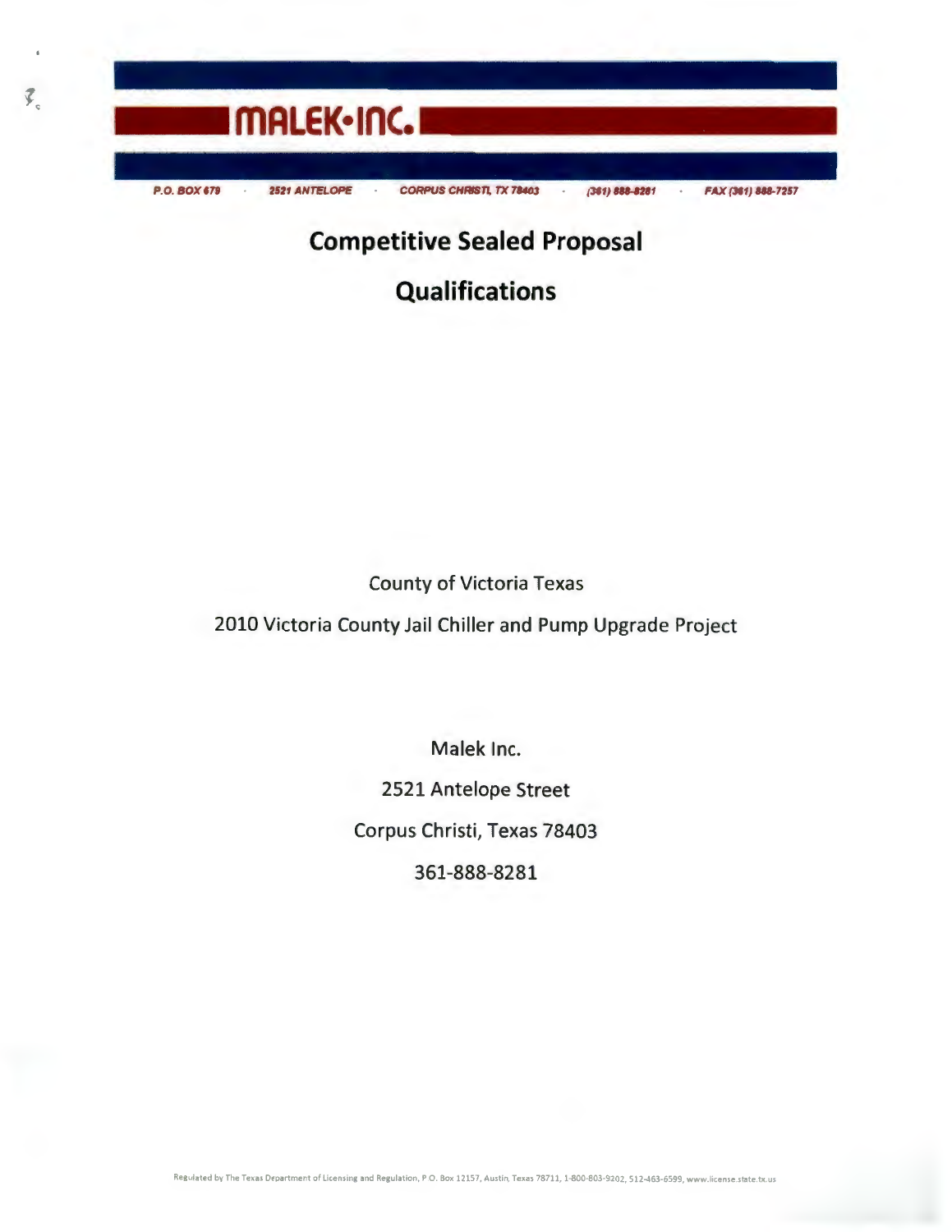

 $\vec{y}_n$ 

**Competitive Sealed Proposal** 

**Qualifications** 

County of Victoria Texas

2010 Victoria County Jail Chiller and Pump Upgrade Project

Malek Inc. 2521 Antelope Street Corpus Christi, Texas 78403 361-888-8281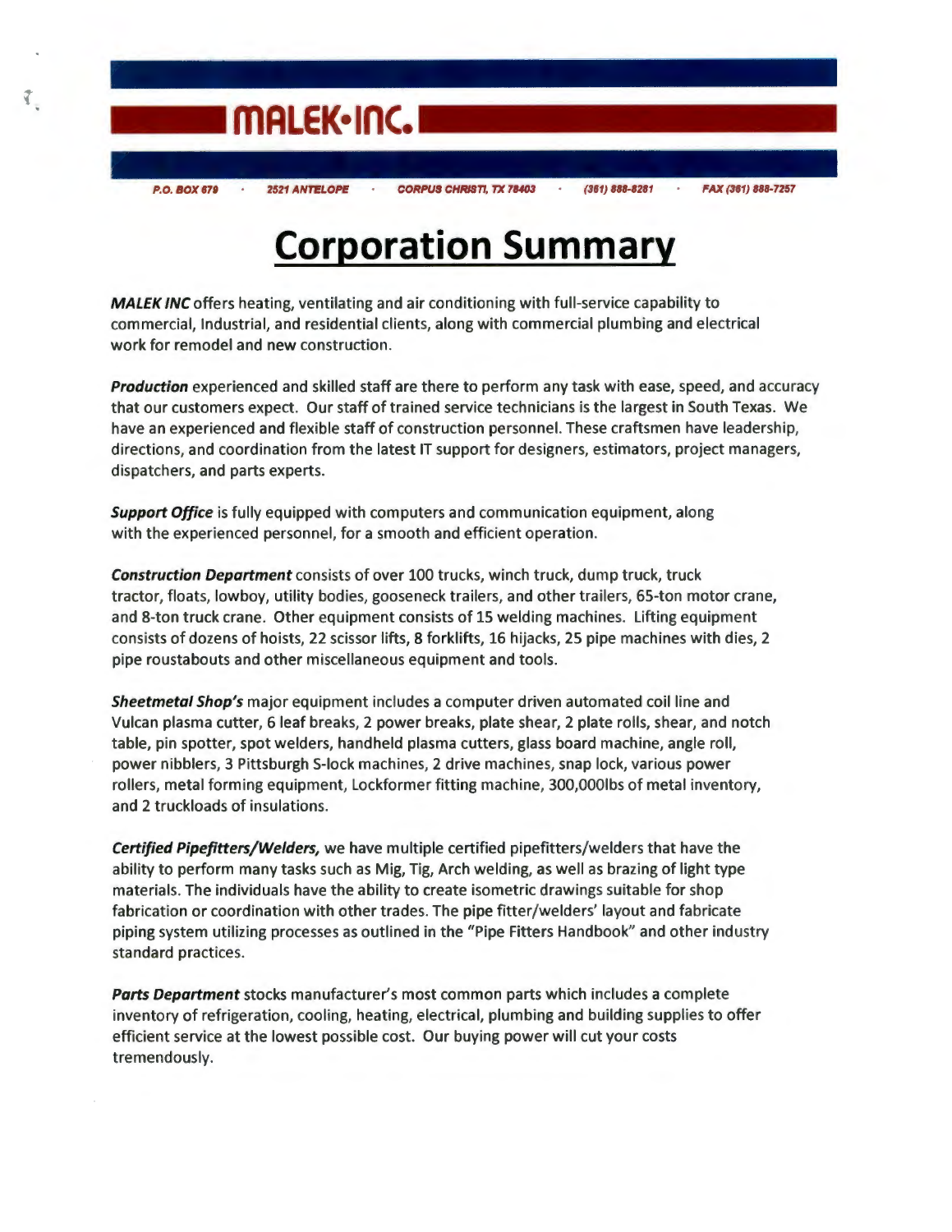

# **Corporation Summary**

MALEK INC offers heating, ventilating and air conditioning with full-service capability to commercial, Industrial, and residential clients, along with commercial plumbing and electrical work for remodel and new construction.

*Production* experienced and skilled staff are there to perform any task with ease, speed, and accuracy that our customers expect. Our staff of trained service technicians is the largest in South Texas. We have an experienced and flexible staff of construction personnel. These craftsmen have leadership, directions, and coordination from the latest IT support for designers, estimators, project managers, dispatchers, and parts experts.

*Support Office* is fully equipped with computers and communication equipment, along with the experienced personnel, for a smooth and efficient operation.

*Construction Department* consists of over 100 trucks, winch truck, dump truck, truck tractor, floats, lowboy, utility bodies, gooseneck trailers, and other trailers, 65-ton motor crane, and 8-ton truck crane. Other equipment consists of 15 welding machines. Lifting equipment consists of dozens of hoists, 22 scissor lifts, 8 forklifts, 16 hijacks, 25 pipe machines with dies, 2 pipe roustabouts and other miscellaneous equipment and tools.

*Sheetmetal Shop's* major equipment includes a computer driven automated coil line and Vulcan plasma cutter, 6 leaf breaks, 2 power breaks, plate shear, 2 plate rolls, shear, and notch table, pin spotter, spot welders, hand held plasma cutters, glass board machine, angle roll, power nibblers, 3 Pittsburgh 5-lock machines, 2 drive machines, snap lock, various power rollers, metal forming equipment, Lockformer fitting machine, 300,000lbs of metal inventory, and 2 truckloads of insulations.

*Certified Pipefitters/Welders,* we have multiple certified pipefitters/welders that have the ability to perform many tasks such as Mig, Tig, Arch welding, as well as brazing of light type materials. The individuals have the ability to create isometric drawings suitable for shop fabrication or coordination with other trades. The pipe fitter/welders' layout and fabricate piping system utilizing processes as outlined in the "Pipe Fitters Handbook" and other industry standard practices.

*Parts Department* stocks manufacturer's most common parts which includes a complete inventory of refrigeration, cooling, heating, electrical, plumbing and building supplies to offer efficient service at the lowest possible cost. Our buying power will cut your costs tremendously.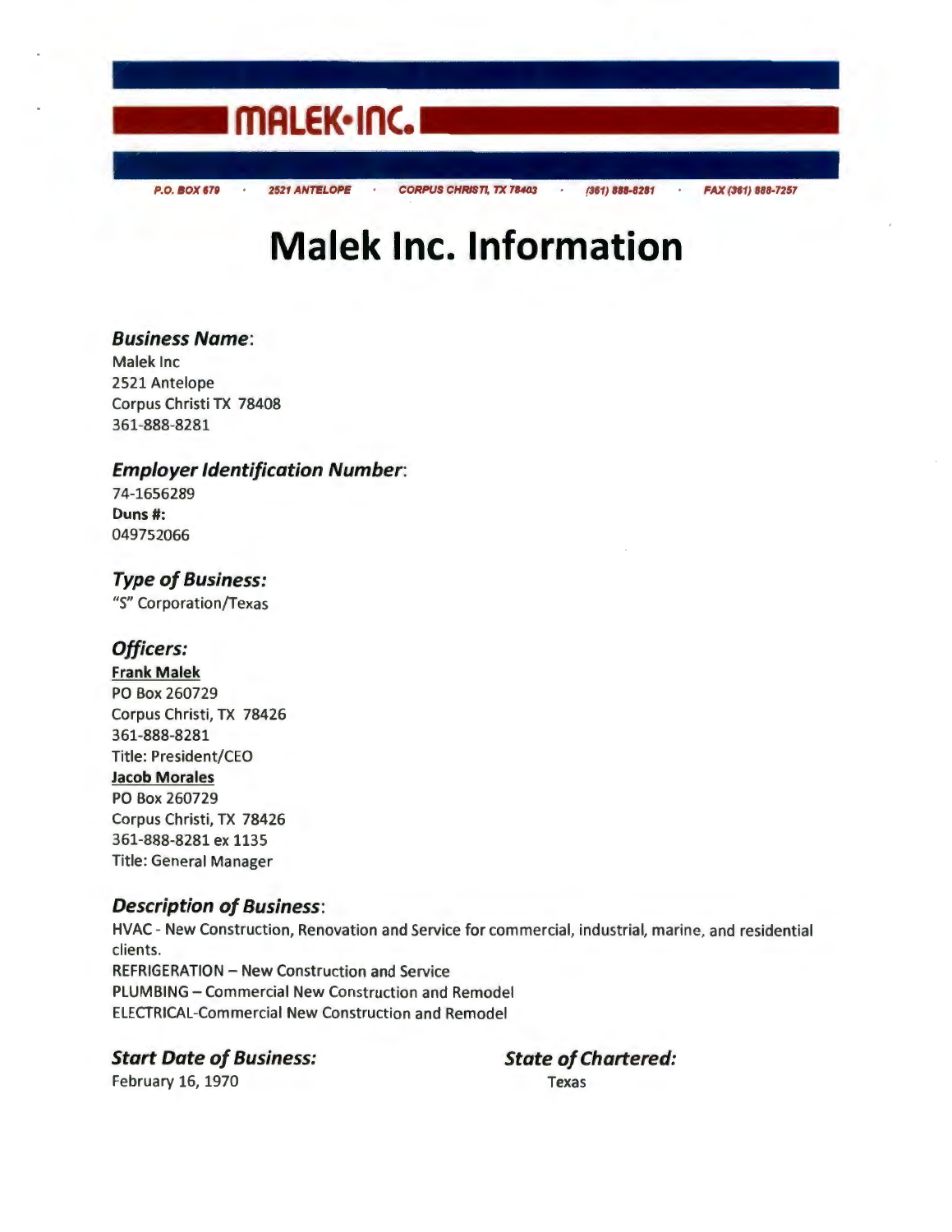

# **Malek Inc. Information**

## **Business Name:**

Malek Inc 2521 Antelope Corpus Christi TX 78408 361-888-8281

## **Employer Identification Number:**

74-1656289 **Duns#:**  049752066

**Type of Business:** 

"S" Corporation/Texas

## **Officers:**

**Frank Malek**  PO Box 260729 Corpus Christi, TX 78426 361-888-8281 Title: President/CEO **Jacob Morales**  PO Box 260729 Corpus Christi, TX 78426 361-888-8281 ex 1135 Title: General Manager

## **Description of Business:**

HVAC - New Construction, Renovation and Service for commercial, industrial, marine, and residential clients. REFRIGERATION - New Construction and Service PLUMBING - Commercial New Construction and Remodel ELECTRICAL-Commercial New Construction and Remodel

### **Start Date of Business: State of Chartered:**

February 16, 1970 Texas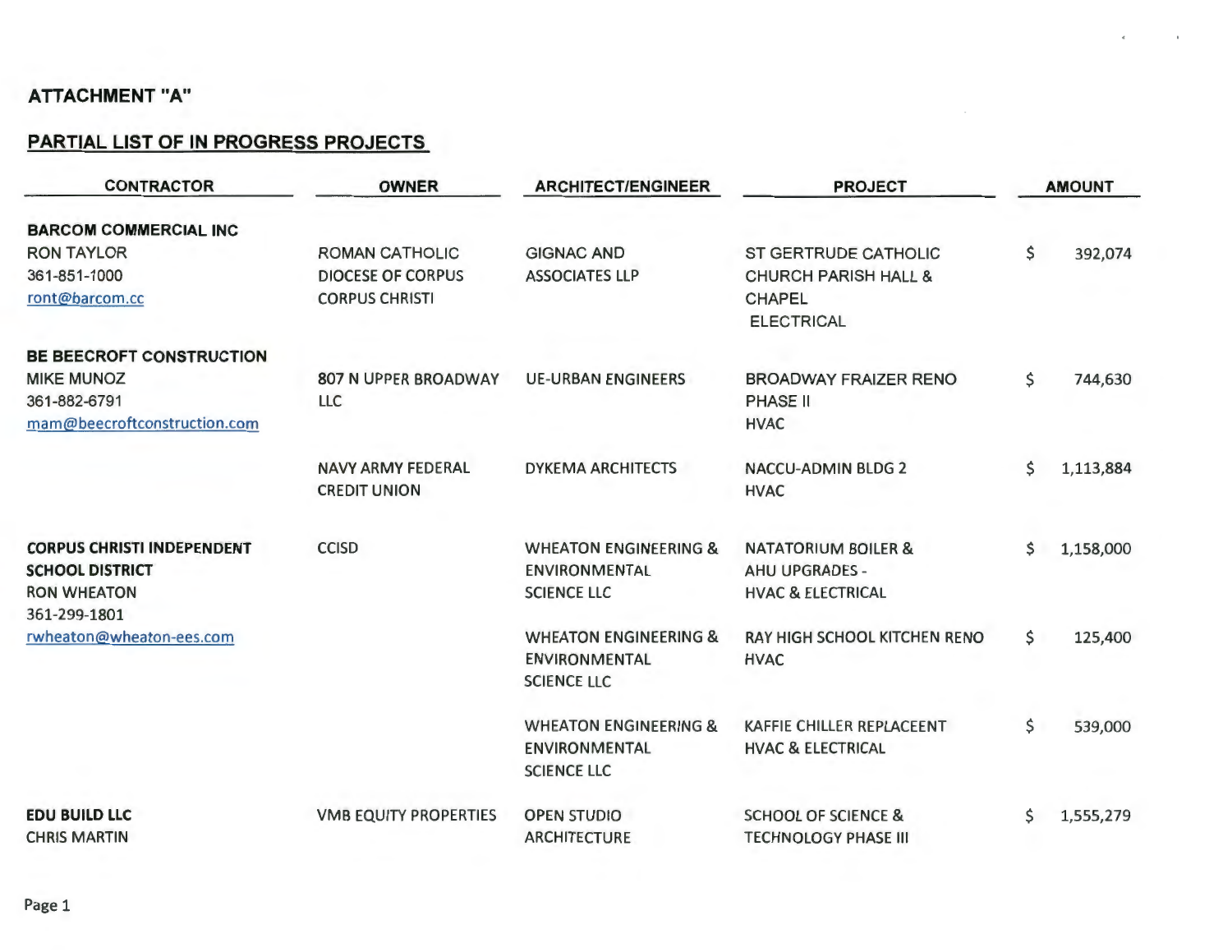## **PARTIAL LIST OF IN PROGRESS PROJECTS**

| <b>CONTRACTOR</b>                 | <b>OWNER</b>                 | <b>ARCHITECT/ENGINEER</b>        | <b>PROJECT</b>                     | <b>AMOUNT</b> |           |
|-----------------------------------|------------------------------|----------------------------------|------------------------------------|---------------|-----------|
| <b>BARCOM COMMERCIAL INC</b>      |                              |                                  |                                    |               |           |
| <b>RON TAYLOR</b>                 | <b>ROMAN CATHOLIC</b>        | <b>GIGNAC AND</b>                | <b>ST GERTRUDE CATHOLIC</b>        | \$            | 392,074   |
| 361-851-1000                      | <b>DIOCESE OF CORPUS</b>     | <b>ASSOCIATES LLP</b>            | <b>CHURCH PARISH HALL &amp;</b>    |               |           |
| ront@barcom.cc                    | <b>CORPUS CHRISTI</b>        |                                  | <b>CHAPEL</b><br><b>ELECTRICAL</b> |               |           |
| BE BEECROFT CONSTRUCTION          |                              |                                  |                                    |               |           |
| <b>MIKE MUNOZ</b>                 | <b>807 N UPPER BROADWAY</b>  | <b>UE-URBAN ENGINEERS</b>        | <b>BROADWAY FRAIZER RENO</b>       | \$            | 744,630   |
| 361-882-6791                      | <b>LLC</b>                   |                                  | <b>PHASE II</b>                    |               |           |
| mam@beecroftconstruction.com      |                              |                                  | <b>HVAC</b>                        |               |           |
|                                   | <b>NAVY ARMY FEDERAL</b>     | <b>DYKEMA ARCHITECTS</b>         | <b>NACCU-ADMIN BLDG 2</b>          | \$            | 1,113,884 |
|                                   | <b>CREDIT UNION</b>          |                                  | <b>HVAC</b>                        |               |           |
| <b>CORPUS CHRISTI INDEPENDENT</b> | <b>CCISD</b>                 | <b>WHEATON ENGINEERING &amp;</b> | <b>NATATORIUM BOILER &amp;</b>     | \$            | 1,158,000 |
| <b>SCHOOL DISTRICT</b>            |                              | <b>ENVIRONMENTAL</b>             | <b>AHU UPGRADES -</b>              |               |           |
| <b>RON WHEATON</b>                |                              | <b>SCIENCE LLC</b>               | <b>HVAC &amp; ELECTRICAL</b>       |               |           |
| 361-299-1801                      |                              |                                  |                                    |               |           |
| rwheaton@wheaton-ees.com          |                              | <b>WHEATON ENGINEERING &amp;</b> | RAY HIGH SCHOOL KITCHEN RENO       | \$            | 125,400   |
|                                   |                              | <b>ENVIRONMENTAL</b>             | <b>HVAC</b>                        |               |           |
|                                   |                              | <b>SCIENCE LLC</b>               |                                    |               |           |
|                                   |                              | <b>WHEATON ENGINEERING &amp;</b> | KAFFIE CHILLER REPLACEENT          | \$            | 539,000   |
|                                   |                              | <b>ENVIRONMENTAL</b>             | <b>HVAC &amp; ELECTRICAL</b>       |               |           |
|                                   |                              | <b>SCIENCE LLC</b>               |                                    |               |           |
| <b>EDU BUILD LLC</b>              | <b>VMB EQUITY PROPERTIES</b> | <b>OPEN STUDIO</b>               | <b>SCHOOL OF SCIENCE &amp;</b>     | \$            | 1,555,279 |
| <b>CHRIS MARTIN</b>               |                              | <b>ARCHITECTURE</b>              | <b>TECHNOLOGY PHASE III</b>        |               |           |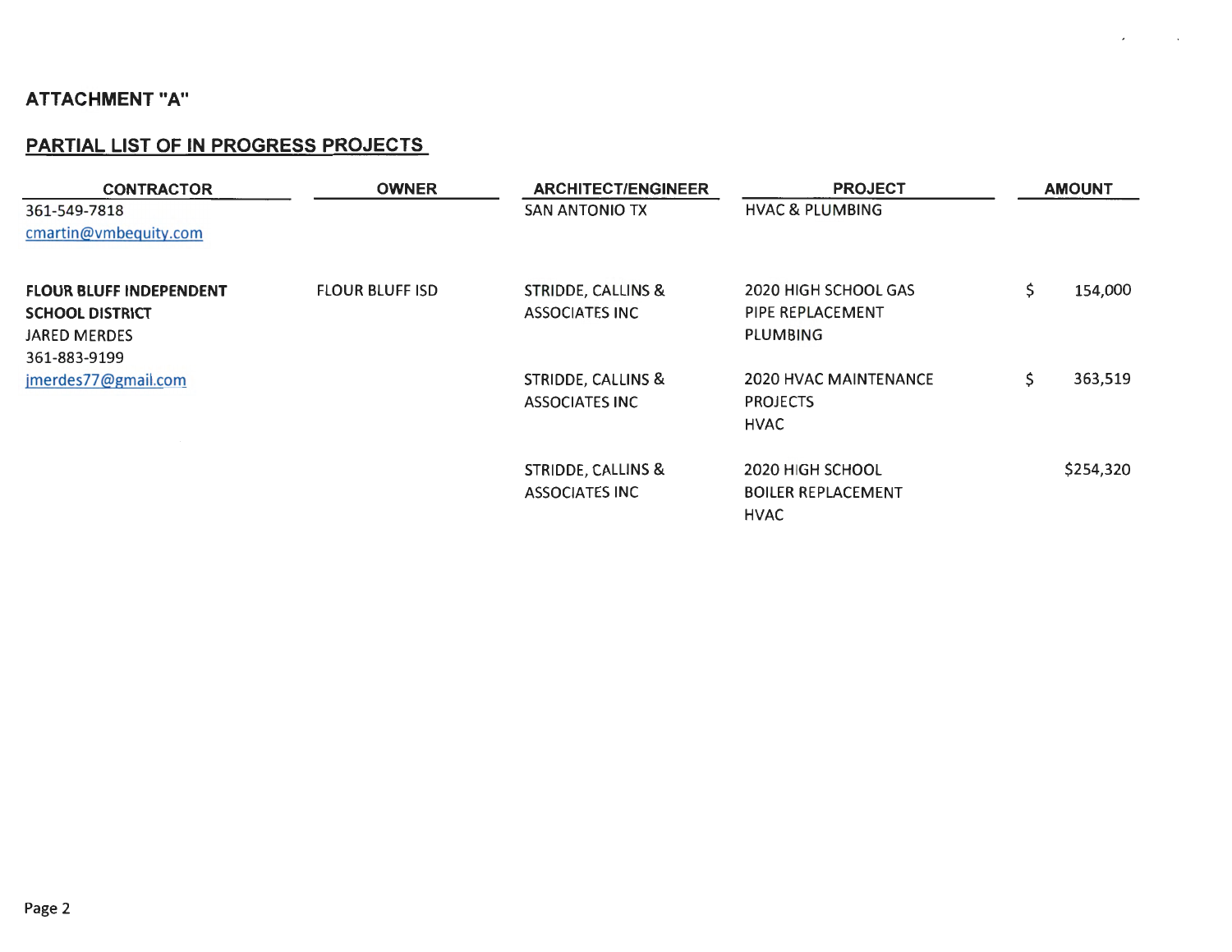## **PARTIAL LIST OF IN PROGRESS PROJECTS**

| <b>CONTRACTOR</b>                                                               | <b>OWNER</b>           | <b>ARCHITECT/ENGINEER</b>                              | <b>PROJECT</b>                                               | <b>AMOUNT</b> |           |
|---------------------------------------------------------------------------------|------------------------|--------------------------------------------------------|--------------------------------------------------------------|---------------|-----------|
| 361-549-7818<br>cmartin@vmbequity.com                                           |                        | <b>SAN ANTONIO TX</b>                                  | <b>HVAC &amp; PLUMBING</b>                                   |               |           |
| <b>FLOUR BLUFF INDEPENDENT</b><br><b>SCHOOL DISTRICT</b><br><b>JARED MERDES</b> | <b>FLOUR BLUFF ISD</b> | STRIDDE, CALLINS &<br><b>ASSOCIATES INC</b>            | 2020 HIGH SCHOOL GAS<br>PIPE REPLACEMENT<br><b>PLUM3ING</b>  | \$.           | 154,000   |
| 361-883-9199<br>jmerdes77@gmail.com                                             |                        | <b>STRIDDE, CALLINS &amp;</b><br><b>ASSOCIATES INC</b> | 2020 HVAC MAINTENANCE<br><b>PROJECTS</b><br><b>HVAC</b>      | \$            | 363,519   |
|                                                                                 |                        | <b>STRIDDE, CALLINS &amp;</b><br><b>ASSOCIATES INC</b> | 2020 HIGH SCHOOL<br><b>BOILER REPLACEMENT</b><br><b>HVAC</b> |               | \$254,320 |

 $\mathcal{L}_{\mathcal{A}}$ 

 $\sim$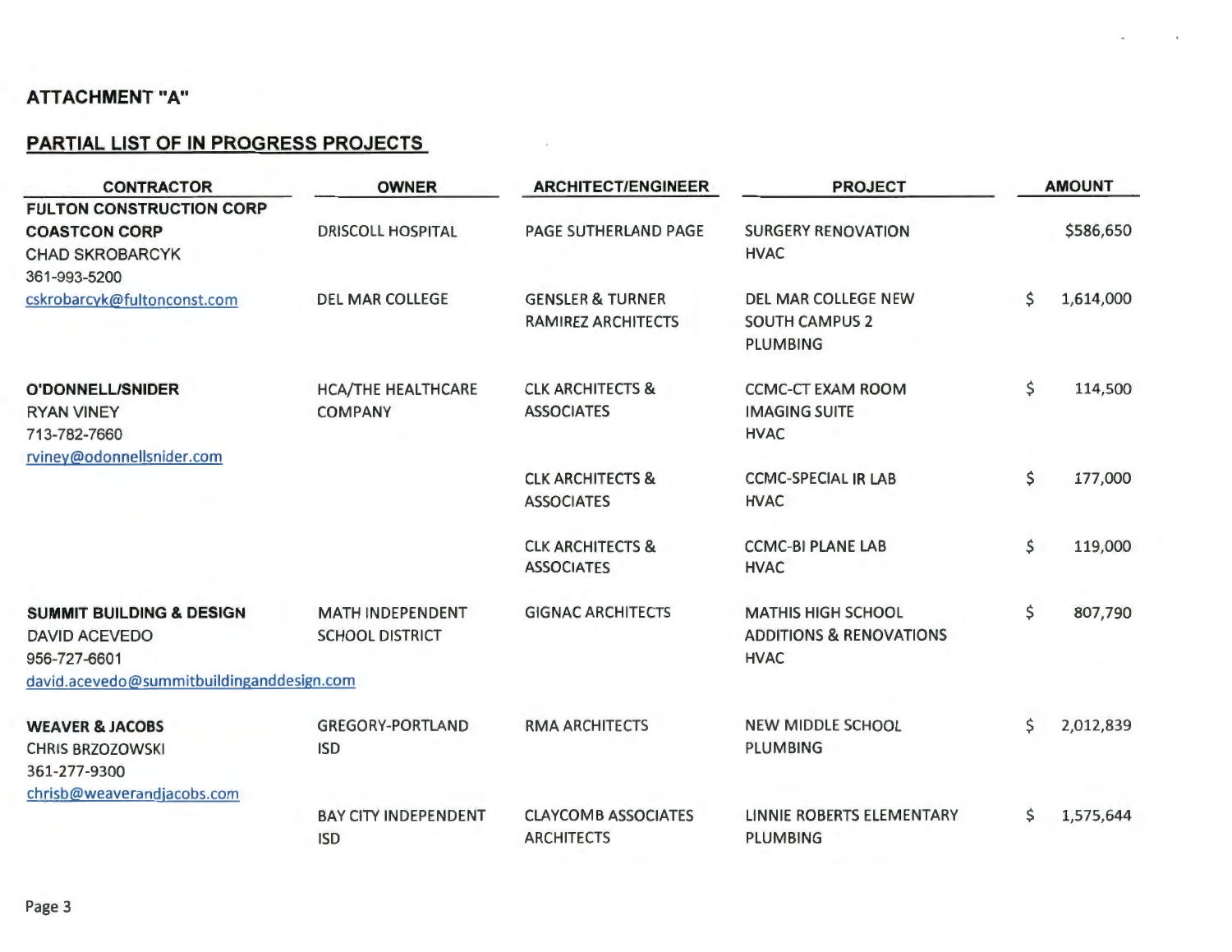## **PARTIAL LIST OF IN PROGRESS PROJECTS**

| <b>CONTRACTOR</b>                                                                                                        | <b>OWNER</b>                                      | <b>ARCHITECT/ENGINEER</b>                                |                                                                                | <b>AMOUNT</b> |           |  |
|--------------------------------------------------------------------------------------------------------------------------|---------------------------------------------------|----------------------------------------------------------|--------------------------------------------------------------------------------|---------------|-----------|--|
| <b>FULTON CONSTRUCTION CORP</b><br><b>COASTCON CORP</b><br><b>CHAD SKROBARCYK</b>                                        | <b>DRISCOLL HOSPITAL</b>                          | PAGE SUTHERLAND PAGE                                     | <b>SURGERY RENOVATION</b><br><b>HVAC</b>                                       |               | \$586,650 |  |
| 361-993-5200<br>cskrobarcyk@fultonconst.com                                                                              | <b>DEL MAR COLLEGE</b>                            | <b>GENSLER &amp; TURNER</b><br><b>RAMIREZ ARCHITECTS</b> | <b>DEL MAR COLLEGE NEW</b><br><b>SOUTH CAMPUS 2</b><br><b>PLUMBING</b>         | \$            | 1,614,000 |  |
| <b>O'DONNELL/SNIDER</b><br><b>RYAN VINEY</b><br>713-782-7660<br>rviney@odonnellsnider.com                                | <b>HCA/THE HEALTHCARE</b><br><b>COMPANY</b>       | <b>CLK ARCHITECTS &amp;</b><br><b>ASSOCIATES</b>         | <b>CCMC-CT EXAM ROOM</b><br><b>IMAGING SUITE</b><br><b>HVAC</b>                | \$            | 114,500   |  |
|                                                                                                                          |                                                   | <b>CLK ARCHITECTS &amp;</b><br><b>ASSOCIATES</b>         | <b>CCMC-SPECIAL IR LAB</b><br><b>HVAC</b>                                      | \$            | 177,000   |  |
|                                                                                                                          |                                                   | <b>CLK ARCHITECTS &amp;</b><br><b>ASSOCIATES</b>         | <b>CCMC-BI PLANE LAB</b><br><b>HVAC</b>                                        | \$            | 119,000   |  |
| <b>SUMMIT BUILDING &amp; DESIGN</b><br><b>DAVID ACEVEDO</b><br>956-727-6601<br>david.acevedo@summitbuildinganddesign.com | <b>MATH INDEPENDENT</b><br><b>SCHOOL DISTRICT</b> | <b>GIGNAC ARCHITECTS</b>                                 | <b>MATHIS HIGH SCHOOL</b><br><b>ADDITIONS &amp; RENOVATIONS</b><br><b>HVAC</b> | \$            | 807,790   |  |
| <b>WEAVER &amp; JACOBS</b><br><b>CHRIS BRZOZOWSKI</b><br>361-277-9300                                                    | <b>GREGORY-PORTLAND</b><br><b>ISD</b>             | <b>RMA ARCHITECTS</b>                                    | <b>NEW MIDDLE SCHOOL</b><br><b>PLUMBING</b>                                    | \$            | 2,012,839 |  |
| chrisb@weaverandjacobs.com                                                                                               | <b>BAY CITY INDEPENDENT</b><br><b>ISD</b>         | <b>CLAYCOMB ASSOCIATES</b><br><b>ARCHITECTS</b>          | LINNIE ROBERTS ELEMENTARY<br><b>PLUMBING</b>                                   | \$            | 1,575,644 |  |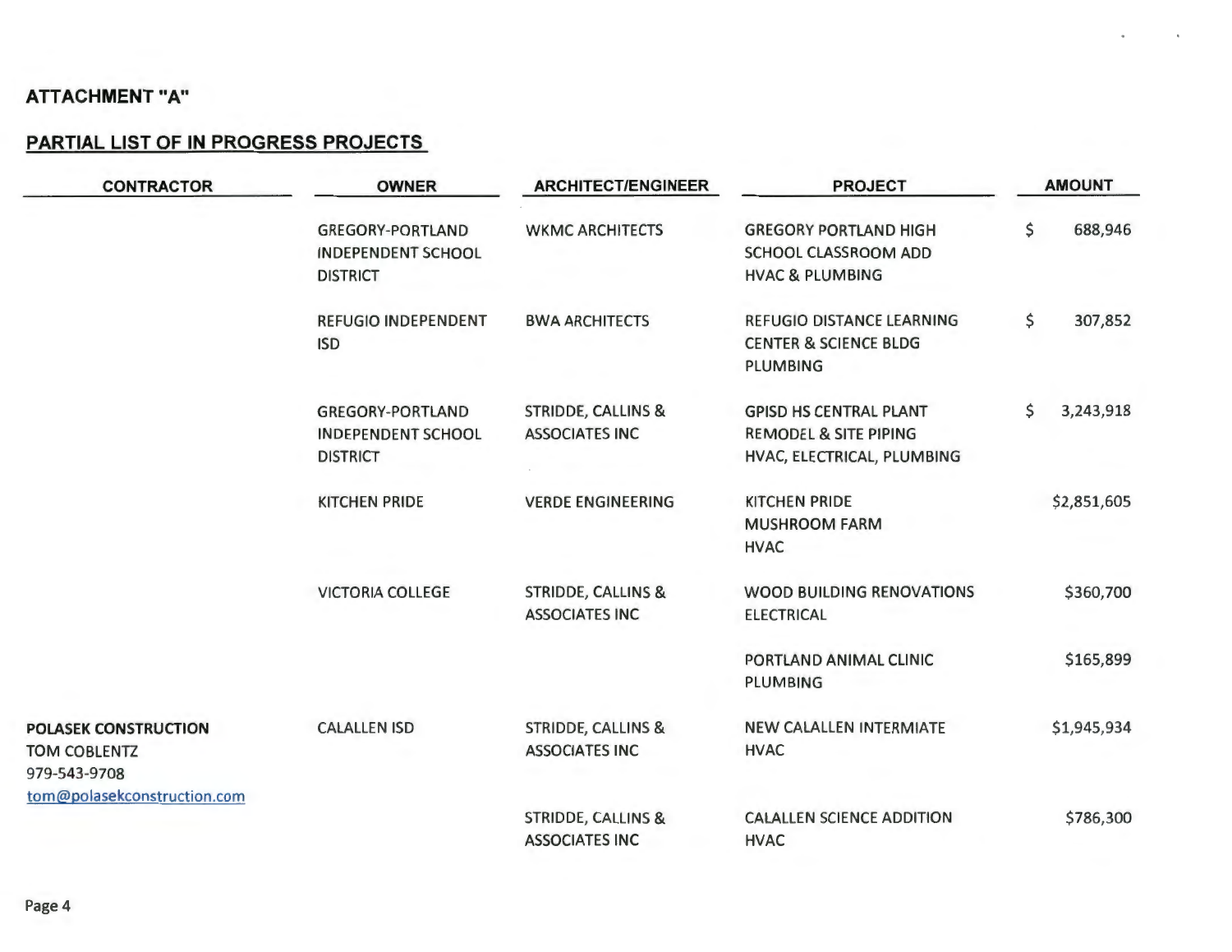# **PARTIAL LIST OF IN PROGRESS PROJECTS**

| <b>CONTRACTOR</b>                                                  | <b>OWNER</b>                                                            | <b>ARCHITECT/ENGINEER</b>                              | <b>PROJECT</b>                                                                                  | <b>AMOUNT</b>   |
|--------------------------------------------------------------------|-------------------------------------------------------------------------|--------------------------------------------------------|-------------------------------------------------------------------------------------------------|-----------------|
|                                                                    | <b>GREGORY-PORTLAND</b><br><b>INDEPENDENT SCHOOL</b><br><b>DISTRICT</b> | <b>WKMC ARCHITECTS</b>                                 | <b>GREGORY PORTLAND HIGH</b><br>SCHOOL CLASSROOM ADD<br><b>HVAC &amp; PLUMBING</b>              | \$<br>688,946   |
|                                                                    | <b>REFUGIO INDEPENDENT</b><br><b>ISD</b>                                | <b>BWA ARCHITECTS</b>                                  | <b>REFUGIO DISTANCE LEARNING</b><br><b>CENTER &amp; SCIENCE BLDG</b><br><b>PLUMBING</b>         | \$<br>307,852   |
|                                                                    | <b>GREGORY-PORTLAND</b><br><b>INDEPENDENT SCHOOL</b><br><b>DISTRICT</b> | <b>STRIDDE, CALLINS &amp;</b><br><b>ASSOCIATES INC</b> | <b>GPISD HS CENTRAL PLANT</b><br><b>REMODEL &amp; SITE PIPING</b><br>HVAC, ELECTRICAL, PLUMBING | \$<br>3,243,918 |
|                                                                    | <b>KITCHEN PRIDE</b>                                                    | <b>VERDE ENGINEERING</b>                               | <b>KITCHEN PRIDE</b><br><b>MUSHROOM FARM</b><br><b>HVAC</b>                                     | \$2,851,605     |
|                                                                    | <b>VICTORIA COLLEGE</b>                                                 | <b>STRIDDE, CALLINS &amp;</b><br><b>ASSOCIATES INC</b> | <b>WOOD BUILDING RENOVATIONS</b><br><b>ELECTRICAL</b>                                           | \$360,700       |
|                                                                    |                                                                         |                                                        | PORTLAND ANIMAL CLINIC<br><b>PLUMBING</b>                                                       | \$165,899       |
| <b>POLASEK CONSTRUCTION</b><br><b>TOM COBLENTZ</b><br>979-543-9708 | <b>CALALLEN ISD</b>                                                     | <b>STRIDDE, CALLINS &amp;</b><br><b>ASSOCIATES INC</b> | <b>NEW CALALLEN INTERMIATE</b><br><b>HVAC</b>                                                   | \$1,945,934     |
| tom@polasekconstruction.com                                        |                                                                         | <b>STRIDDE, CALLINS &amp;</b><br><b>ASSOCIATES INC</b> | <b>CALALLEN SCIENCE ADDITION</b><br><b>HVAC</b>                                                 | \$786,300       |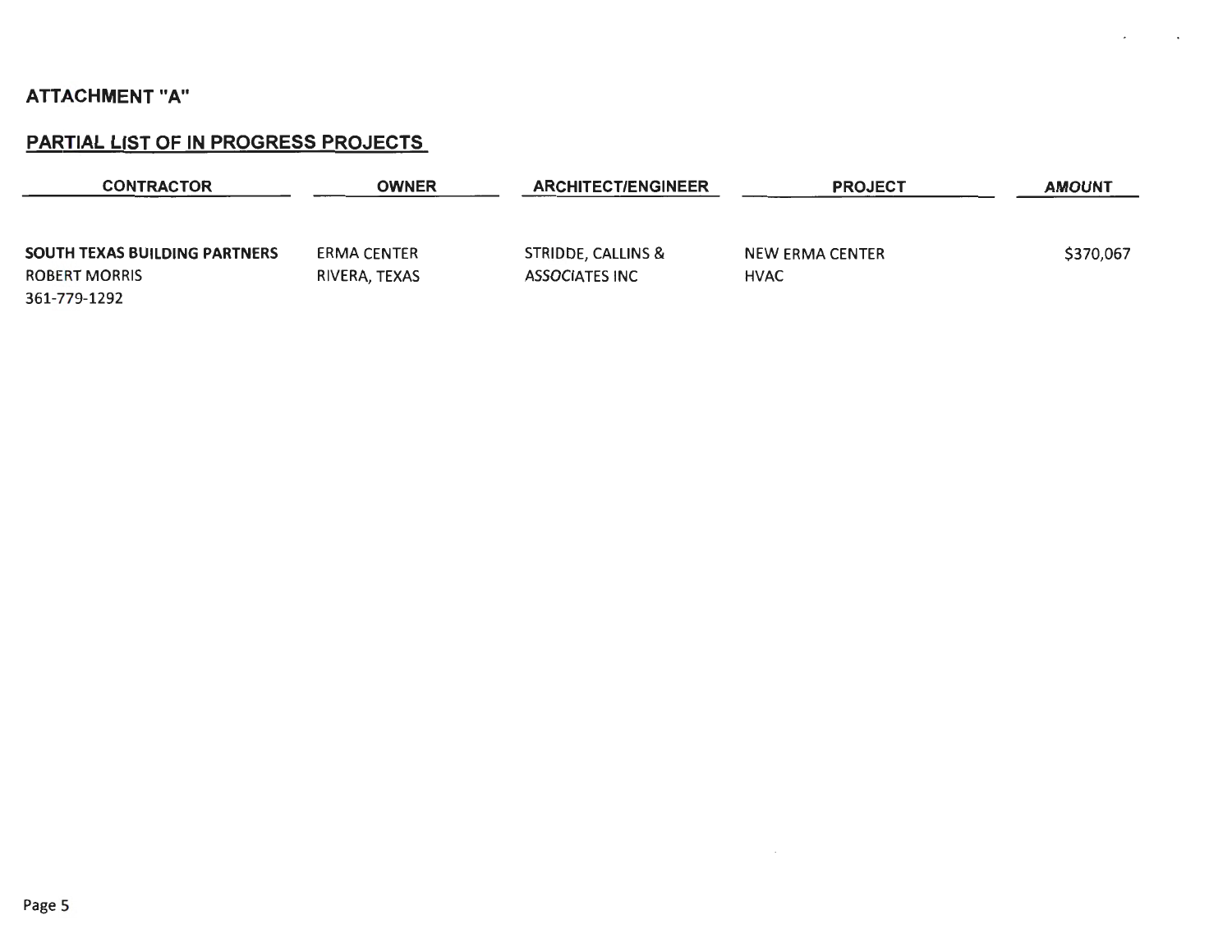# PARTIAL LIST OF IN PROGRESS PROJECTS

| <b>CONTRACTOR</b>                    | OWNER         | <b>ARCHITECT/ENGINEER</b>     | <b>PROJECT</b>         | <b>AMOUNT</b> |
|--------------------------------------|---------------|-------------------------------|------------------------|---------------|
|                                      |               |                               |                        |               |
| <b>SOUTH TEXAS BUILDING PARTNERS</b> | ERMA CENTER   | <b>STRIDDE, CALLINS &amp;</b> | <b>NEW ERMA CENTER</b> | \$370,067     |
| <b>ROBERT MORRIS</b>                 | RIVERA, TEXAS | <b>ASSOCIATES INC</b>         | <b>HVAC</b>            |               |
| 361-779-1292                         |               |                               |                        |               |

 $\sim$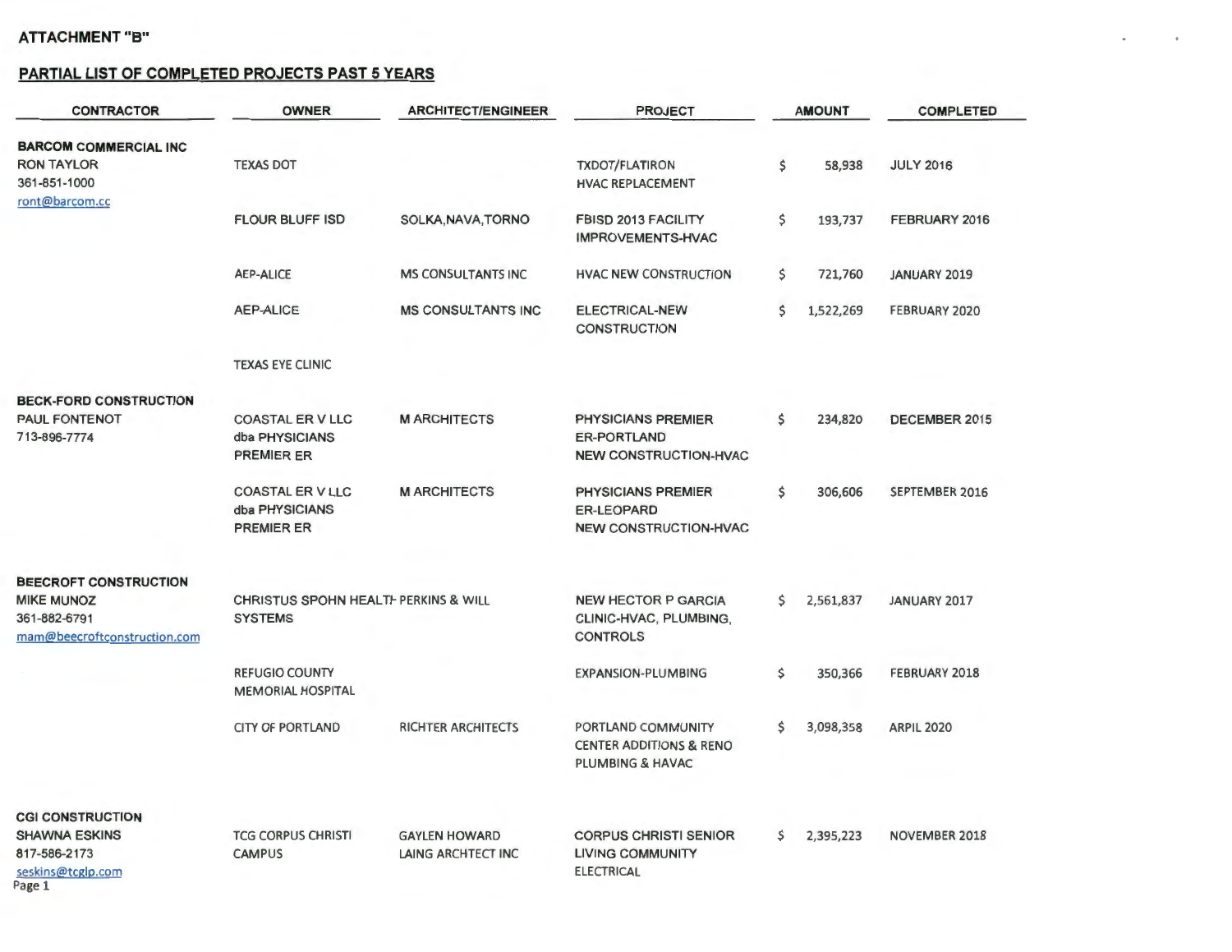#### **PARTIAL LIST OF COMPLETED PROJECTS PAST 5 YEARS**

| <b>CONTRACTOR</b>                                                                   | <b>OWNER</b>                                                      | <b>ARCHITECT/ENGINEER</b>                  | <b>PROJECT</b>                                                                  | <b>AMOUNT</b>   | <b>COMPLETED</b>     |
|-------------------------------------------------------------------------------------|-------------------------------------------------------------------|--------------------------------------------|---------------------------------------------------------------------------------|-----------------|----------------------|
| <b>BARCOM COMMERCIAL INC</b><br><b>RON TAYLOR</b><br>361-851-1000<br>ront@barcom.cc | <b>TEXAS DOT</b>                                                  |                                            | <b>TXDOT/FLATIRON</b><br><b>HVAC REPLACEMENT</b>                                | \$<br>58,938    | <b>JULY 2016</b>     |
|                                                                                     | <b>FLOUR BLUFF ISD</b>                                            | SOLKA, NAVA, TORNO                         | FBISD 2013 FACILITY<br>IMPROVEMENTS-HVAC                                        | \$<br>193,737   | FEBRUARY 2016        |
|                                                                                     | <b>AEP-ALICE</b>                                                  | <b>MS CONSULTANTS INC</b>                  | <b>HVAC NEW CONSTRUCTION</b>                                                    | \$<br>721,760   | <b>JANUARY 2019</b>  |
|                                                                                     | <b>AEP-ALICE</b>                                                  | <b>MS CONSULTANTS INC</b>                  | <b>ELECTRICAL-NEW</b><br><b>CONSTRUCTION</b>                                    | \$<br>1,522,269 | FEBRUARY 2020        |
|                                                                                     | <b>TEXAS EYE CLINIC</b>                                           |                                            |                                                                                 |                 |                      |
| <b>BECK-FORD CONSTRUCTION</b>                                                       |                                                                   |                                            |                                                                                 |                 |                      |
| <b>PAUL FONTENOT</b><br>713-896-7774                                                | <b>COASTAL ER V LLC</b><br>dba PHYSICIANS<br><b>PREMIER ER</b>    | <b>M ARCHITECTS</b>                        | <b>PHYSICIANS PREMIER</b><br><b>ER-PORTLAND</b><br><b>NEW CONSTRUCTION-HVAC</b> | \$<br>234,820   | DECEMBER 2015        |
|                                                                                     | <b>COASTAL ER V LLC</b><br>dba PHYSICIANS<br><b>PREMIER ER</b>    | <b>M ARCHITECTS</b>                        | PHYSICIANS PREMIER<br><b>ER-LEOPARD</b><br><b>NEW CONSTRUCTION-HVAC</b>         | \$<br>306,606   | SEPTEMBER 2016       |
| <b>BEECROFT CONSTRUCTION</b>                                                        |                                                                   |                                            |                                                                                 |                 |                      |
| <b>MIKE MUNOZ</b><br>361-882-6791<br>mam@beecroftconstruction.com                   | <b>CHRISTUS SPOHN HEALTH PERKINS &amp; WILL</b><br><b>SYSTEMS</b> |                                            | <b>NEW HECTOR P GARCIA</b><br>CLINIC-HVAC, PLUMBING,<br><b>CONTROLS</b>         | \$<br>2,561,837 | JANUARY 2017         |
|                                                                                     | <b>REFUGIO COUNTY</b><br><b>MEMORIAL HOSPITAL</b>                 |                                            | <b>EXPANSION-PLUMBING</b>                                                       | \$<br>350,366   | FEBRUARY 2018        |
|                                                                                     | <b>CITY OF PORTLAND</b>                                           | <b>RICHTER ARCHITECTS</b>                  | PORTLAND COMMUNITY<br><b>CENTER ADDITIONS &amp; RENO</b><br>PLUMBING & HAVAC    | \$<br>3,098,358 | <b>ARPIL 2020</b>    |
| <b>CGI CONSTRUCTION</b>                                                             |                                                                   |                                            |                                                                                 |                 |                      |
| <b>SHAWNA ESKINS</b><br>817-586-2173<br>seskins@tcglp.com<br>Page 1                 | <b>TCG CORPUS CHRISTI</b><br><b>CAMPUS</b>                        | <b>GAYLEN HOWARD</b><br>LAING ARCHTECT INC | <b>CORPUS CHRISTI SENIOR</b><br><b>LIVING COMMUNITY</b><br><b>ELECTRICAL</b>    | \$<br>2,395,223 | <b>NOVEMBER 2018</b> |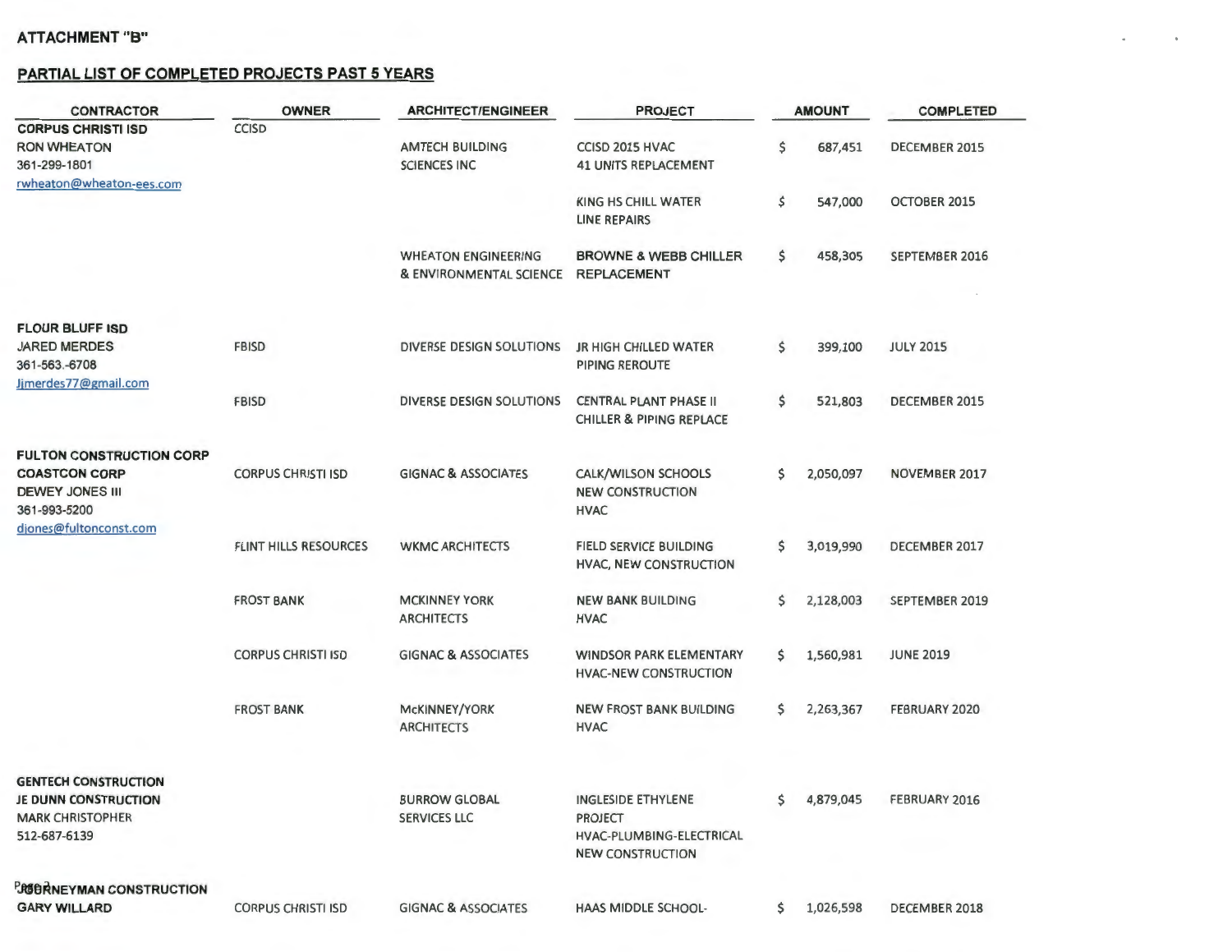#### **PARTIAL LIST OF COMPLETED PROJECTS PAST 5 YEARS**

| <b>CONTRACTOR</b>                                                                              | <b>OWNER</b>                 | <b>ARCHITECT/ENGINEER</b>                             | <b>PROJECT</b>                                                                              |     | <b>AMOUNT</b> | <b>COMPLETED</b>     |
|------------------------------------------------------------------------------------------------|------------------------------|-------------------------------------------------------|---------------------------------------------------------------------------------------------|-----|---------------|----------------------|
| <b>CORPUS CHRISTI ISD</b>                                                                      | <b>CCISD</b>                 |                                                       |                                                                                             |     |               |                      |
| <b>RON WHEATON</b>                                                                             |                              | <b>AMTECH BUILDING</b>                                | CCISD 2015 HVAC                                                                             | \$  | 687,451       | DECEMBER 2015        |
| 361-299-1801                                                                                   |                              | <b>SCIENCES INC</b>                                   | <b>41 UNITS REPLACEMENT</b>                                                                 |     |               |                      |
| rwheaton@wheaton-ees.com                                                                       |                              |                                                       |                                                                                             |     |               |                      |
|                                                                                                |                              |                                                       | <b>KING HS CHILL WATER</b><br><b>LINE REPAIRS</b>                                           | \$  | 547,000       | OCTOBER 2015         |
|                                                                                                |                              | <b>WHEATON ENGINEERING</b><br>& ENVIRONMENTAL SCIENCE | <b>BROWNE &amp; WEBB CHILLER</b><br><b>REPLACEMENT</b>                                      | \$  | 458,305       | SEPTEMBER 2016       |
| <b>FLOUR BLUFF ISD</b>                                                                         |                              |                                                       |                                                                                             |     |               |                      |
| <b>JARED MERDES</b><br>361-563.-6708<br>Jimerdes77@gmail.com                                   | <b>FBISD</b>                 | <b>DIVERSE DESIGN SOLUTIONS</b>                       | <b>JR HIGH CHILLED WATER</b><br>PIPING REROUTE                                              | \$  | 399,100       | <b>JULY 2015</b>     |
|                                                                                                | <b>FBISD</b>                 | <b>DIVERSE DESIGN SOLUTIONS</b>                       | <b>CENTRAL PLANT PHASE II</b><br><b>CHILLER &amp; PIPING REPLACE</b>                        | \$  | 521,803       | DECEMBER 2015        |
| <b>FULTON CONSTRUCTION CORP</b>                                                                |                              |                                                       |                                                                                             |     |               |                      |
| <b>COASTCON CORP</b><br><b>DEWEY JONES III</b><br>361-993-5200                                 | <b>CORPUS CHRISTI ISD</b>    | <b>GIGNAC &amp; ASSOCIATES</b>                        | CALK/WILSON SCHOOLS<br><b>NEW CONSTRUCTION</b><br><b>HVAC</b>                               | \$  | 2,050,097     | <b>NOVEMBER 2017</b> |
| djones@fultonconst.com                                                                         | <b>FLINT HILLS RESOURCES</b> | <b>WKMC ARCHITECTS</b>                                | <b>FIELD SERVICE BUILDING</b><br>HVAC, NEW CONSTRUCTION                                     | \$  | 3,019,990     | DECEMBER 2017        |
|                                                                                                | <b>FROST BANK</b>            | <b>MCKINNEY YORK</b><br><b>ARCHITECTS</b>             | <b>NEW BANK BUILDING</b><br><b>HVAC</b>                                                     | \$  | 2,128,003     | SEPTEMBER 2019       |
|                                                                                                | <b>CORPUS CHRISTI ISD</b>    | <b>GIGNAC &amp; ASSOCIATES</b>                        | <b>WINDSOR PARK ELEMENTARY</b><br><b>HVAC-NEW CONSTRUCTION</b>                              | \$  | 1,560,981     | <b>JUNE 2019</b>     |
|                                                                                                | <b>FROST BANK</b>            | McKINNEY/YORK<br><b>ARCHITECTS</b>                    | <b>NEW FROST BANK BUILDING</b><br><b>HVAC</b>                                               | \$  | 2,263,367     | FEBRUARY 2020        |
|                                                                                                |                              |                                                       |                                                                                             |     |               |                      |
| <b>GENTECH CONSTRUCTION</b><br>JE DUNN CONSTRUCTION<br><b>MARK CHRISTOPHER</b><br>512-687-6139 |                              | <b>BURROW GLOBAL</b><br><b>SERVICES LLC</b>           | INGLESIDE ETHYLENE<br><b>PROJECT</b><br>HVAC-PLUMBING-ELECTRICAL<br><b>NEW CONSTRUCTION</b> |     | \$4,879,045   | <b>FEBRUARY 2016</b> |
| <b>PROBRINEYMAN CONSTRUCTION</b>                                                               |                              |                                                       |                                                                                             |     |               |                      |
| <b>GARY WILLARD</b>                                                                            | <b>CORPUS CHRISTI ISD</b>    | <b>GIGNAC &amp; ASSOCIATES</b>                        | <b>HAAS MIDDLE SCHOOL-</b>                                                                  | \$. | 1,026,598     | DECEMBER 2018        |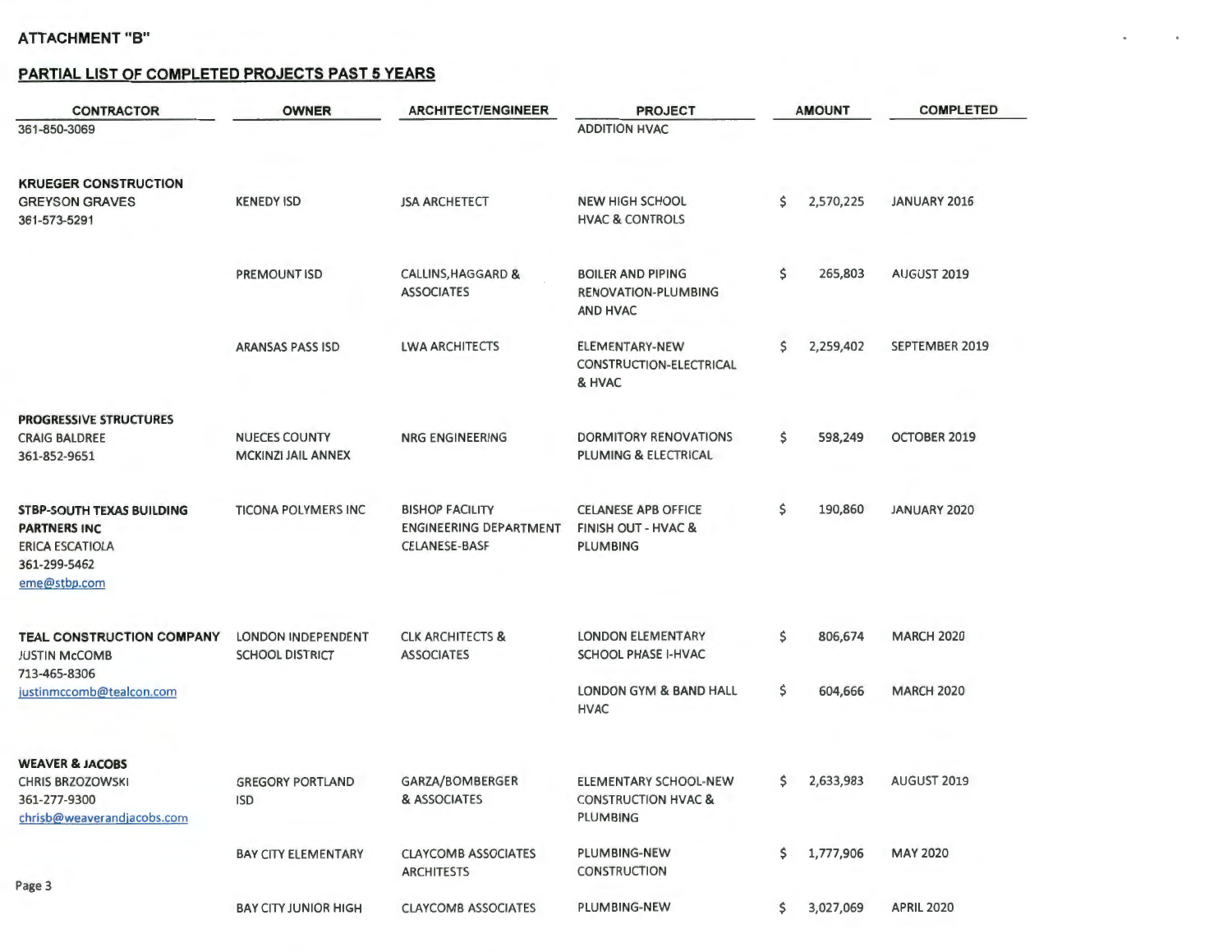#### **PARTIAL LIST OF COMPLETED PROJECTS PAST 5 YEARS**

| <b>CONTRACTOR</b>                                                                                                 | <b>OWNER</b>                                        | <b>ARCHITECT/ENGINEER</b>                                                       | <b>PROJECT</b>                                                                  |    | <b>AMOUNT</b> | <b>COMPLETED</b>   |
|-------------------------------------------------------------------------------------------------------------------|-----------------------------------------------------|---------------------------------------------------------------------------------|---------------------------------------------------------------------------------|----|---------------|--------------------|
| 361-850-3069                                                                                                      |                                                     |                                                                                 | <b>ADDITION HVAC</b>                                                            |    |               |                    |
| <b>KRUEGER CONSTRUCTION</b><br><b>GREYSON GRAVES</b><br>361-573-5291                                              | <b>KENEDY ISD</b>                                   | <b>JSA ARCHETECT</b>                                                            | <b>NEW HIGH SCHOOL</b><br><b>HVAC &amp; CONTROLS</b>                            | \$ | 2,570,225     | JANUARY 2016       |
|                                                                                                                   | <b>PREMOUNT ISD</b>                                 | <b>CALLINS, HAGGARD &amp;</b><br><b>ASSOCIATES</b>                              | <b>BOILER AND PIPING</b><br><b>RENOVATION-PLUMBING</b><br>AND HVAC              | \$ | 265,803       | AUGUST 2019        |
|                                                                                                                   | <b>ARANSAS PASS ISD</b>                             | <b>LWA ARCHITECTS</b>                                                           | ELEMENTARY-NEW<br>CONSTRUCTION-ELECTRICAL<br>& HVAC                             | \$ | 2,259,402     | SEPTEMBER 2019     |
| <b>PROGRESSIVE STRUCTURES</b><br><b>CRAIG BALDREE</b><br>361-852-9651                                             | <b>NUECES COUNTY</b><br><b>MCKINZI JAIL ANNEX</b>   | <b>NRG ENGINEERING</b>                                                          | <b>DORMITORY RENOVATIONS</b><br><b>PLUMING &amp; ELECTRICAL</b>                 | \$ | 598,249       | OCTOBER 2019       |
| <b>STBP-SOUTH TEXAS BUILDING</b><br><b>PARTNERS INC</b><br><b>ERICA ESCATIOLA</b><br>361-299-5462<br>eme@stbp.com | <b>TICONA POLYMERS INC</b>                          | <b>BISHOP FACILITY</b><br><b>ENGINEERING DEPARTMENT</b><br><b>CELANESE-BASF</b> | <b>CELANESE APB OFFICE</b><br><b>FINISH OUT - HVAC &amp;</b><br><b>PLUMBING</b> | \$ | 190,860       | JANUARY 2020       |
| <b>TEAL CONSTRUCTION COMPANY</b><br><b>JUSTIN McCOMB</b>                                                          | <b>LONDON INDEPENDENT</b><br><b>SCHOOL DISTRICT</b> | <b>CLK ARCHITECTS &amp;</b><br><b>ASSOCIATES</b>                                | <b>LONDON ELEMENTARY</b><br><b>SCHOOL PHASE I-HVAC</b>                          | \$ | 806,674       | <b>MARCH 2020</b>  |
| 713-465-8306<br>justinmccomb@tealcon.com                                                                          |                                                     |                                                                                 | <b>LONDON GYM &amp; BAND HALL</b><br><b>HVAC</b>                                | \$ | 604,666       | <b>MARCH 2020</b>  |
| <b>WEAVER &amp; JACOBS</b><br><b>CHRIS BRZOZOWSKI</b><br>361-277-9300<br>chrisb@weaverandjacobs.com               | <b>GREGORY PORTLAND</b><br><b>ISD</b>               | GARZA/BOMBERGER<br>& ASSOCIATES                                                 | ELEMENTARY SCHOOL-NEW<br><b>CONSTRUCTION HVAC &amp;</b><br><b>PLUMBING</b>      | S  | 2,633,983     | <b>AUGUST 2019</b> |
| Page 3                                                                                                            | <b>BAY CITY ELEMENTARY</b>                          | <b>CLAYCOMB ASSOCIATES</b><br><b>ARCHITESTS</b>                                 | PLUMBING-NEW<br><b>CONSTRUCTION</b>                                             | \$ | 1,777,906     | <b>MAY 2020</b>    |
|                                                                                                                   | <b>BAY CITY JUNIOR HIGH</b>                         | <b>CLAYCOMB ASSOCIATES</b>                                                      | PLUMBING-NEW                                                                    | S  | 3,027,069     | <b>APRIL 2020</b>  |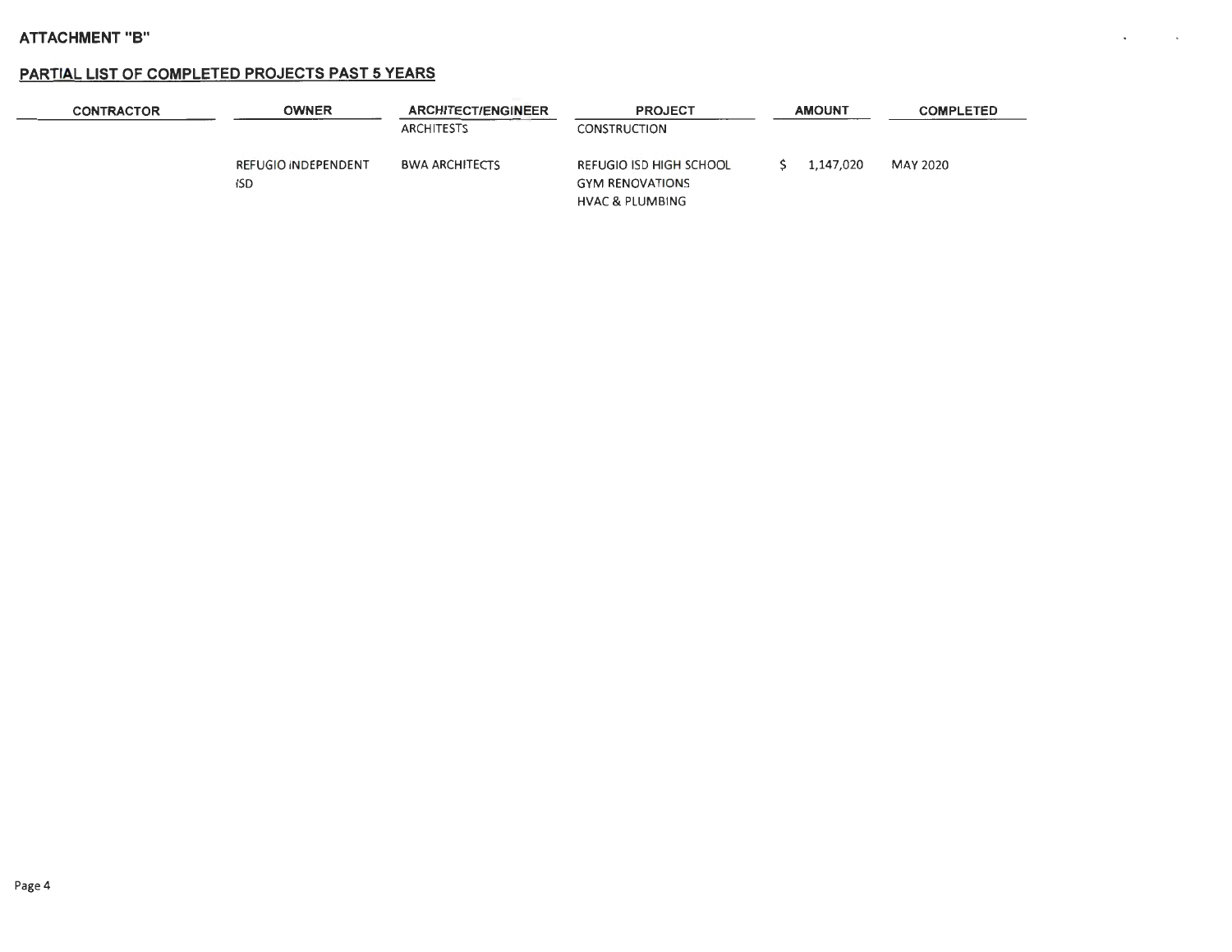#### **PARTIAL LIST OF COMPLETED PROJECTS PAST 5 YEARS**

| <b>CONTRACTOR</b> | OWNER                            | <b>ARCHITECT/ENGINEER</b><br><b>ARCHITESTS</b> | <b>PROJECT</b><br>CONSTRUCTION                                                  | <b>AMOUNT</b> | <b>COMPLETED</b> |
|-------------------|----------------------------------|------------------------------------------------|---------------------------------------------------------------------------------|---------------|------------------|
|                   | REFUGIO NDEPENDENT<br><b>ISD</b> | <b>BWA ARCHITECTS</b>                          | REFUGIO ISD HIGH SCHOOL<br><b>GYM RENOVATIONS</b><br><b>HVAC &amp; PLUMBING</b> | 1,147,020     | MAY 2020         |

**Contractor** 

 $\mathbf{v}$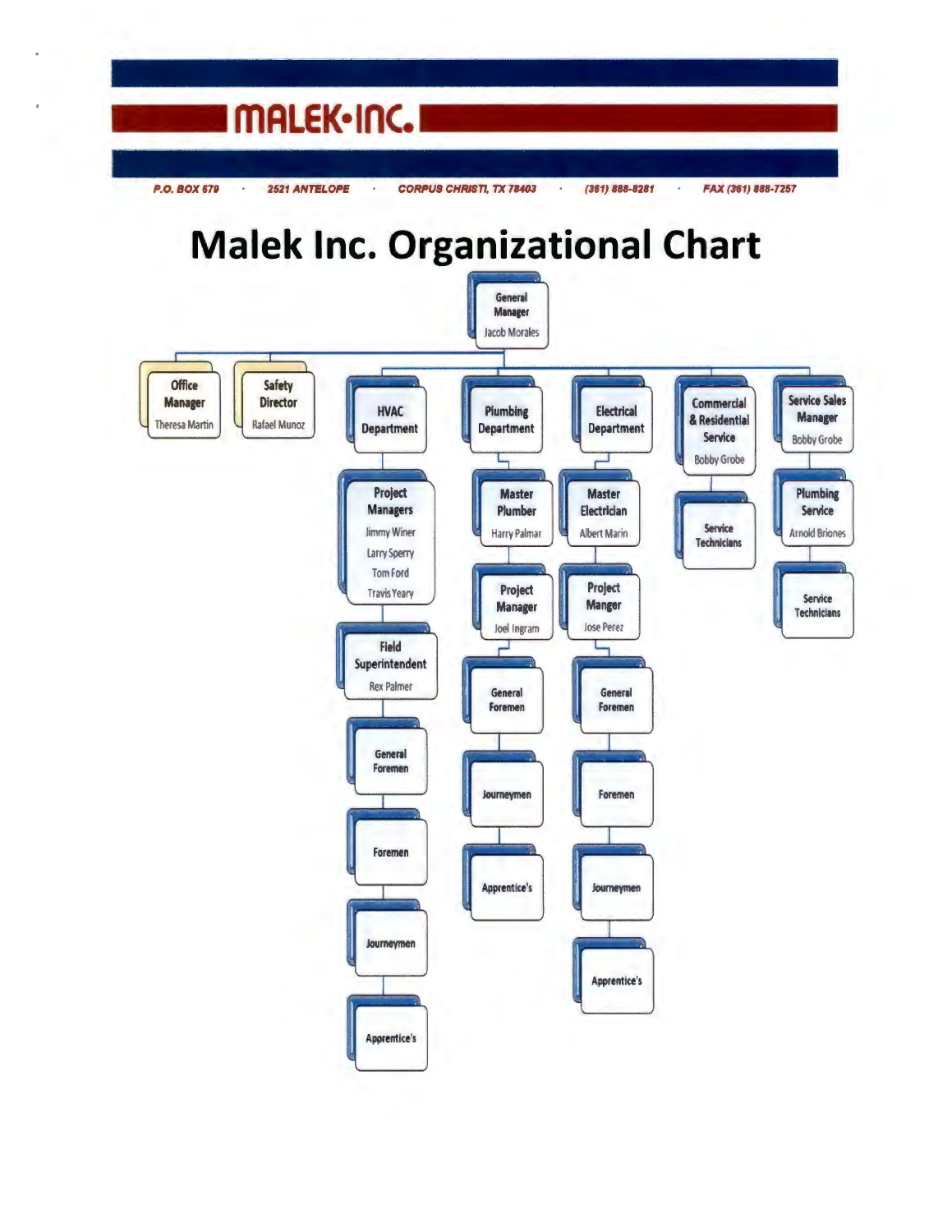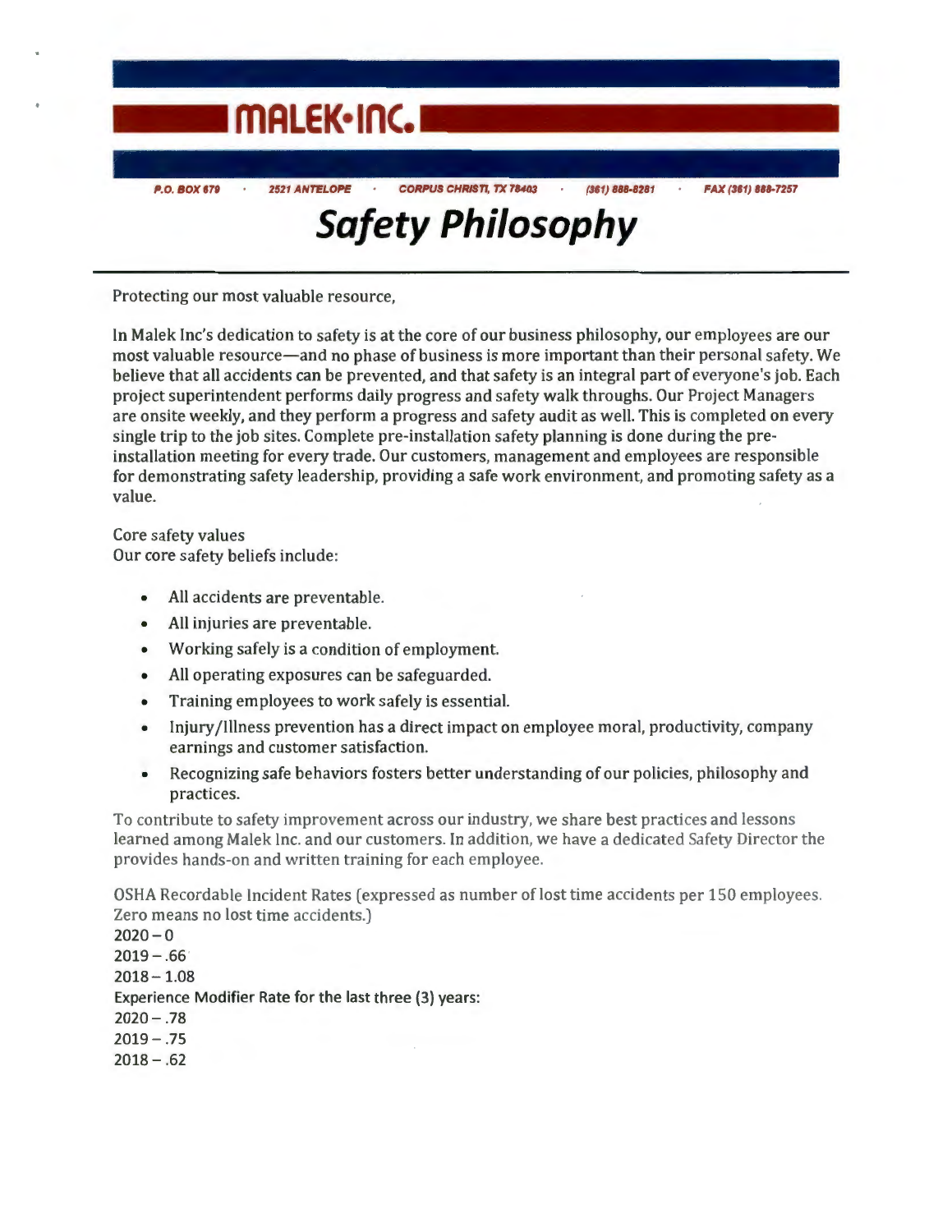

Protecting our most valuable resource,

In Malek Inc's dedication to safety is at the core of our business philosophy, our employees are our most valuable resource-and no phase of business is more important than their personal safety. We believe that all accidents can be prevented, and that safety is an integral part of everyone's job. Each project superintendent performs daily progress and safety walk throughs. Our Project Managers are onsite weekly, and they perform a progress and safety audit as well. This is completed on every single trip to the job sites. Complete pre-installation safety planning is done during the preinstallation meeting for every trade. Our customers, management and employees are responsible for demonstrating safety leadership, providing a safe work environment, and promoting safety as a value.

Core safety values Our core safety beliefs include:

- All accidents are preventable.
- All injuries are preventable.
- Working safely is a condition of employment.
- All operating exposures can be safeguarded.
- Training employees to work safely is essential.
- Injury /Illness prevention has a direct impact on employee moral, productivity, company earnings and customer satisfaction.
- Recognizing safe behaviors fosters better understanding of our policies, philosophy and practices.

To contribute to safety improvement across our industry, we share best practices and lessons learned among Malek Inc. and our customers. In addition, we have a dedicated Safety Director the provides hands-on and written training for each employee.

OSHA Recordable Incident Rates (expressed as number of lost time accidents per 150 employees. Zero means no lost time accidents.)

 $2020 - 0$  $2019 - .66$  $2018 - 1.08$ Experience Modifier Rate for the last three (3) years:  $2020 - .78$  $2019 - .75$  $2018 - .62$